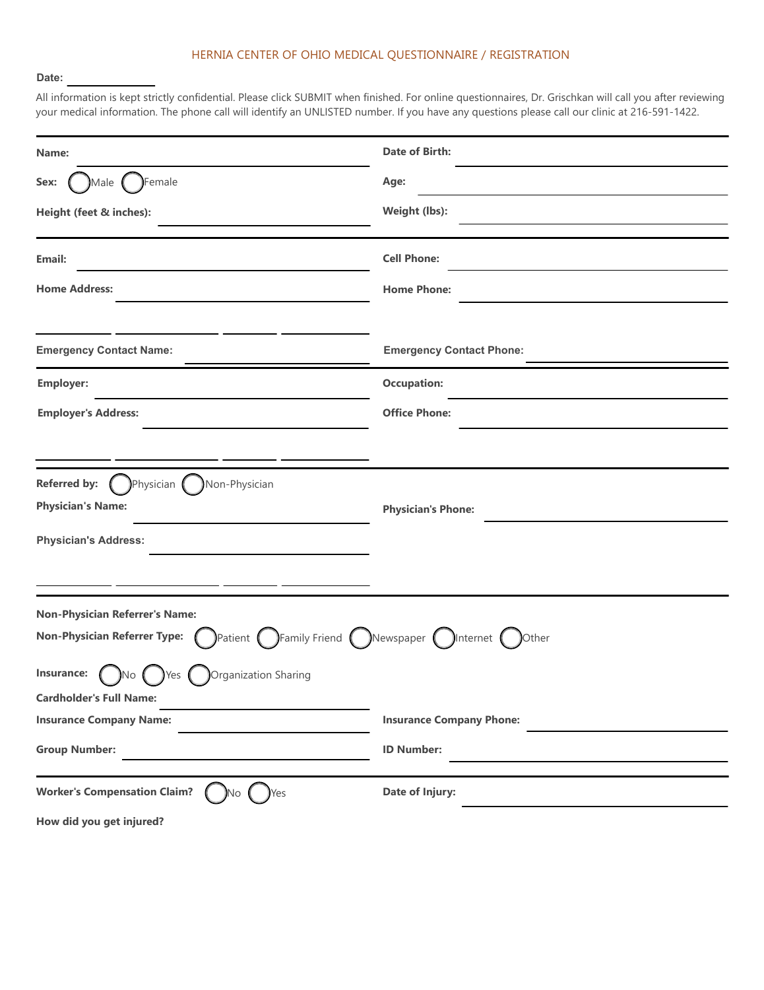## HERNIA CENTER OF OHIO MEDICAL QUESTIONNAIRE / REGISTRATION

#### **Date:**

All information is kept strictly confidential. Please click SUBMIT when finished. For online questionnaires, Dr. Grischkan will call you after reviewing your medical information. The phone call will identify an UNLISTED number. If you have any questions please call our clinic at 216-591-1422.

| Name:                                                                                                                    | <b>Date of Birth:</b>           |  |  |
|--------------------------------------------------------------------------------------------------------------------------|---------------------------------|--|--|
| Female<br>Sex:<br>Male                                                                                                   | Age:                            |  |  |
| Height (feet & inches):                                                                                                  | Weight (lbs):                   |  |  |
| Email:                                                                                                                   | <b>Cell Phone:</b>              |  |  |
| <b>Home Address:</b>                                                                                                     | <b>Home Phone:</b>              |  |  |
| <b>Emergency Contact Name:</b>                                                                                           | <b>Emergency Contact Phone:</b> |  |  |
|                                                                                                                          |                                 |  |  |
| <b>Employer:</b>                                                                                                         | <b>Occupation:</b>              |  |  |
| <b>Employer's Address:</b>                                                                                               | <b>Office Phone:</b>            |  |  |
|                                                                                                                          |                                 |  |  |
| Referred by: $($<br>Physician (<br>Non-Physician                                                                         |                                 |  |  |
| <b>Physician's Name:</b>                                                                                                 | <b>Physician's Phone:</b>       |  |  |
| <b>Physician's Address:</b>                                                                                              |                                 |  |  |
|                                                                                                                          |                                 |  |  |
| <b>Non-Physician Referrer's Name:</b>                                                                                    |                                 |  |  |
| )Patient $\bigcap$ Family Friend $\bigcap$ Newspaper $\bigcap$ Internet $\bigcap$<br><b>Non-Physician Referrer Type:</b> | <b>Other</b>                    |  |  |
| Insurance:<br>Organization Sharing<br>No.<br>Yes                                                                         |                                 |  |  |
| <b>Cardholder's Full Name:</b>                                                                                           |                                 |  |  |
| <b>Insurance Company Name:</b>                                                                                           | <b>Insurance Company Phone:</b> |  |  |
| <b>Group Number:</b>                                                                                                     | <b>ID Number:</b>               |  |  |
| <b>Worker's Compensation Claim?</b><br><b>Yes</b><br>JNo.                                                                | Date of Injury:                 |  |  |
| How did you get injured?                                                                                                 |                                 |  |  |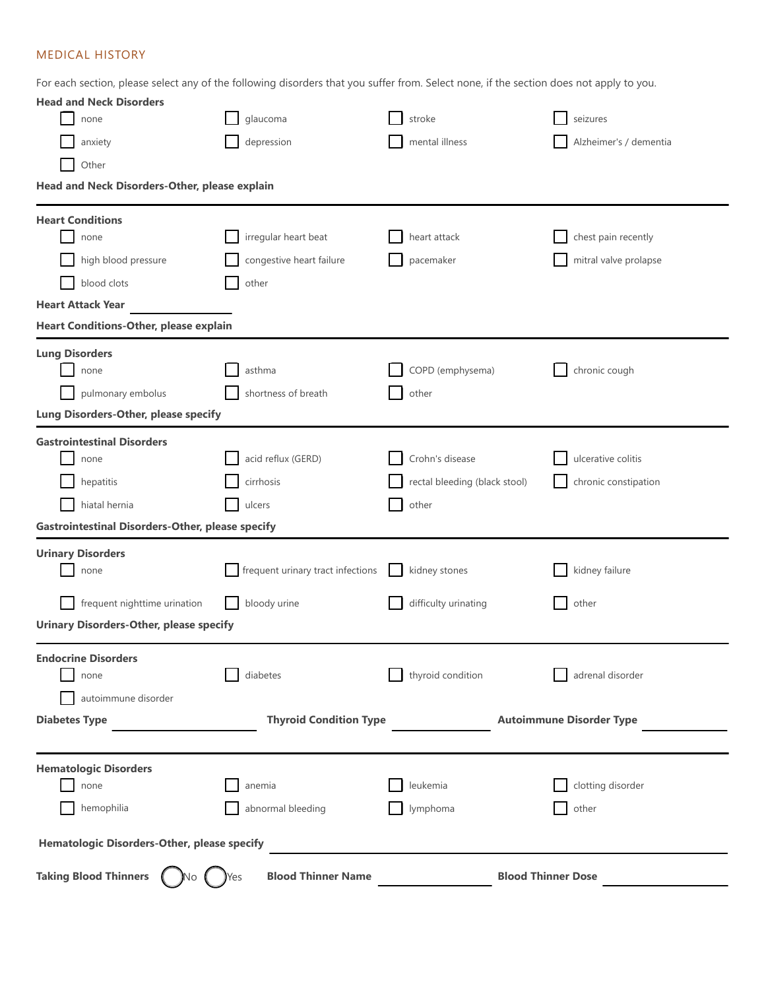# MEDICAL HISTORY

For each section, please select any of the following disorders that you suffer from. Select none, if the section does not apply to you.

| <b>Head and Neck Disorders</b>                          |                                          |                                          |                                 |  |  |
|---------------------------------------------------------|------------------------------------------|------------------------------------------|---------------------------------|--|--|
| none                                                    | glaucoma                                 | stroke                                   | seizures                        |  |  |
| anxiety                                                 | depression                               | mental illness<br>Alzheimer's / dementia |                                 |  |  |
| Other                                                   |                                          |                                          |                                 |  |  |
| Head and Neck Disorders-Other, please explain           |                                          |                                          |                                 |  |  |
| <b>Heart Conditions</b>                                 |                                          |                                          |                                 |  |  |
| none                                                    | irregular heart beat                     | heart attack                             | chest pain recently             |  |  |
| high blood pressure                                     | congestive heart failure                 | pacemaker                                | mitral valve prolapse           |  |  |
| blood clots                                             | other                                    |                                          |                                 |  |  |
| <b>Heart Attack Year</b>                                |                                          |                                          |                                 |  |  |
| <b>Heart Conditions-Other, please explain</b>           |                                          |                                          |                                 |  |  |
| <b>Lung Disorders</b>                                   |                                          |                                          |                                 |  |  |
| none                                                    | asthma                                   | COPD (emphysema)                         | chronic cough                   |  |  |
| pulmonary embolus                                       | shortness of breath                      | other                                    |                                 |  |  |
| Lung Disorders-Other, please specify                    |                                          |                                          |                                 |  |  |
| <b>Gastrointestinal Disorders</b>                       |                                          |                                          |                                 |  |  |
| none                                                    | acid reflux (GERD)                       | Crohn's disease                          | ulcerative colitis              |  |  |
| hepatitis                                               | cirrhosis                                | rectal bleeding (black stool)            | chronic constipation            |  |  |
| hiatal hernia                                           | ulcers                                   | other                                    |                                 |  |  |
| <b>Gastrointestinal Disorders-Other, please specify</b> |                                          |                                          |                                 |  |  |
| <b>Urinary Disorders</b>                                |                                          |                                          |                                 |  |  |
| none                                                    | frequent urinary tract infections        | kidney stones                            | kidney failure                  |  |  |
| frequent nighttime urination                            | bloody urine                             | difficulty urinating                     | other                           |  |  |
| <b>Urinary Disorders-Other, please specify</b>          |                                          |                                          |                                 |  |  |
| <b>Endocrine Disorders</b>                              |                                          |                                          |                                 |  |  |
| none                                                    | diabetes                                 | thyroid condition                        | adrenal disorder                |  |  |
| autoimmune disorder                                     |                                          |                                          |                                 |  |  |
| <b>Diabetes Type</b>                                    | <b>Thyroid Condition Type</b>            |                                          | <b>Autoimmune Disorder Type</b> |  |  |
|                                                         |                                          |                                          |                                 |  |  |
| <b>Hematologic Disorders</b>                            |                                          |                                          |                                 |  |  |
| none                                                    | anemia                                   | leukemia                                 | clotting disorder               |  |  |
| hemophilia                                              | abnormal bleeding                        | lymphoma                                 | other                           |  |  |
| <b>Hematologic Disorders-Other, please specify</b>      |                                          |                                          |                                 |  |  |
| Taking Blood Thinners (<br>)No (                        | <b>Blood Thinner Name</b><br><b>Y</b> es |                                          | <b>Blood Thinner Dose</b>       |  |  |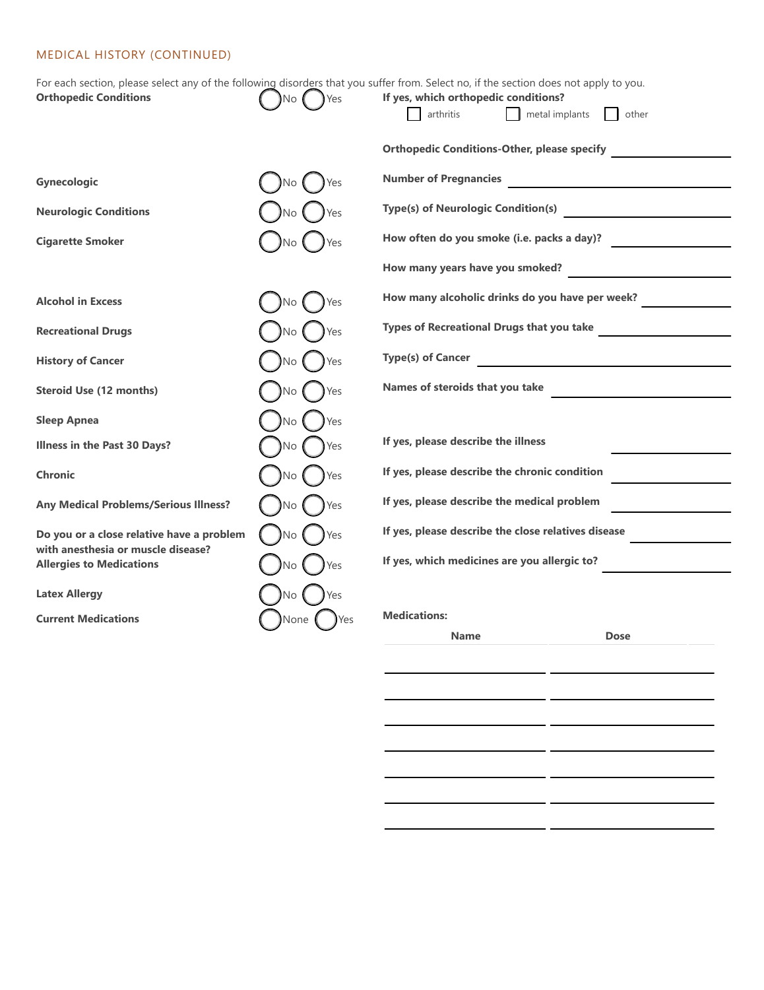# MEDICAL HISTORY (CONTINUED)

| For each section, please select any of the following disorders that you suffer from. Select no, if the section does not apply to you. |                  |                                                                                                     |                                                   |  |  |
|---------------------------------------------------------------------------------------------------------------------------------------|------------------|-----------------------------------------------------------------------------------------------------|---------------------------------------------------|--|--|
| <b>Orthopedic Conditions</b>                                                                                                          | Yes<br>No        | If yes, which orthopedic conditions?                                                                |                                                   |  |  |
|                                                                                                                                       |                  | arthritis<br>$\Box$ metal implants                                                                  | other                                             |  |  |
|                                                                                                                                       |                  | <b>Orthopedic Conditions-Other, please specify</b>                                                  |                                                   |  |  |
| <b>Gynecologic</b>                                                                                                                    | No<br>Yes        | <b>Number of Pregnancies</b>                                                                        |                                                   |  |  |
| <b>Neurologic Conditions</b>                                                                                                          | No               | Type(s) of Neurologic Condition(s)                                                                  |                                                   |  |  |
| <b>Cigarette Smoker</b>                                                                                                               | No.              | How often do you smoke (i.e. packs a day)?                                                          |                                                   |  |  |
|                                                                                                                                       |                  | How many years have you smoked?                                                                     |                                                   |  |  |
| <b>Alcohol in Excess</b>                                                                                                              | <b>No</b><br>Yes | How many alcoholic drinks do you have per week?                                                     |                                                   |  |  |
| <b>Recreational Drugs</b>                                                                                                             | Yes<br>No        | Types of Recreational Drugs that you take                                                           |                                                   |  |  |
| <b>History of Cancer</b>                                                                                                              | Yes<br>No        | <b>Type(s) of Cancer</b>                                                                            | <u> 1989 - Johann Barbara, martxa alemaniar a</u> |  |  |
| <b>Steroid Use (12 months)</b>                                                                                                        | Yes<br>No.       | Names of steroids that you take                                                                     |                                                   |  |  |
| <b>Sleep Apnea</b>                                                                                                                    | No<br>Yes        |                                                                                                     |                                                   |  |  |
| Illness in the Past 30 Days?                                                                                                          | No<br>Yes        | If yes, please describe the illness                                                                 |                                                   |  |  |
| <b>Chronic</b>                                                                                                                        | No               | If yes, please describe the chronic condition                                                       |                                                   |  |  |
| <b>Any Medical Problems/Serious Illness?</b>                                                                                          | No               | If yes, please describe the medical problem                                                         |                                                   |  |  |
| Do you or a close relative have a problem                                                                                             | No               | If yes, please describe the close relatives disease<br>If yes, which medicines are you allergic to? |                                                   |  |  |
| with anesthesia or muscle disease?<br><b>Allergies to Medications</b>                                                                 | No.              |                                                                                                     |                                                   |  |  |
| <b>Latex Allergy</b>                                                                                                                  | No<br>Yes        |                                                                                                     |                                                   |  |  |
| <b>Current Medications</b>                                                                                                            | None             | <b>Medications:</b>                                                                                 |                                                   |  |  |
|                                                                                                                                       |                  | <b>Name</b>                                                                                         | <b>Dose</b>                                       |  |  |

 $-$ 

 $-$ 

 $-$ 

 $-$ 

 $-$